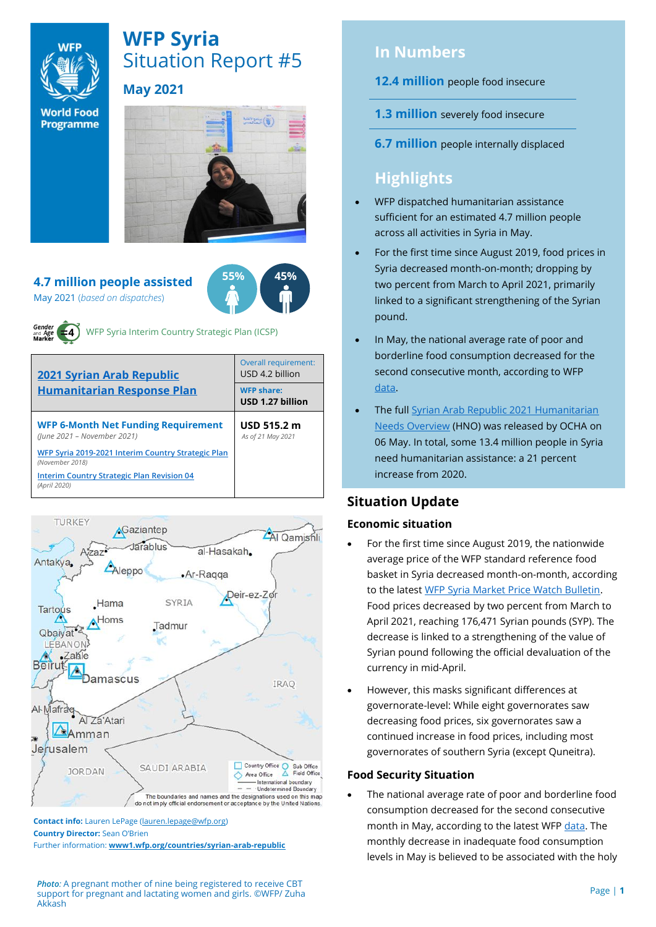

# **WFP Syria** Situation Report #5 **May 2021**

**World Food** Programme

#### **4.7 million people assisted** May 2021 (*based on dispatches*)





WFP Syria Interim Country Strategic Plan (ICSP)

| <b>2021 Syrian Arab Republic</b><br><b>Humanitarian Response Plan</b>     | Overall requirement:<br>USD 4.2 billion    |  |  |
|---------------------------------------------------------------------------|--------------------------------------------|--|--|
|                                                                           | <b>WFP share:</b><br>USD 1.27 billion      |  |  |
| <b>WFP 6-Month Net Funding Requirement</b><br>(June 2021 - November 2021) | USD $515.2 \text{ m}$<br>As of 21 May 2021 |  |  |
| WFP Syria 2019-2021 Interim Country Strategic Plan<br>(November 2018)     |                                            |  |  |
| <b>Interim Country Strategic Plan Revision 04</b><br>(April 2020)         |                                            |  |  |



**Contact info:** Lauren LePage [\(lauren.lepage@wfp.org\)](mailto:lauren.lepage@wfp.org) **Country Director:** Sean O'Brien

Further information: **[www1.wfp.org/countries/syrian-arab-republic](file:///C:/Users/lauren.lepage/AppData/Local/Microsoft/Windows/INetCache/Content.Outlook/HTRVWXQN/www1.wfp.org/countries/syrian-arab-republic)**

*Photo:* A pregnant mother of nine being registered to receive CBT support for pregnant and lactating women and girls. ©WFP/ Zuha Akkash

# **In Numbers**

- **12.4 million** people food insecure
- **1.3 million** severely food insecure
- **6.7 million** people internally displaced

# **Highlights**

- WFP dispatched humanitarian assistance sufficient for an estimated 4.7 million people across all activities in Syria in May.
- For the first time since August 2019, food prices in Syria decreased month-on-month; dropping by two percent from March to April 2021, primarily linked to a significant strengthening of the Syrian pound.
- In May, the national average rate of poor and borderline food consumption decreased for the second consecutive month, according to WFP [data.](https://docs.wfp.org/api/documents/WFP-0000128777/download/)
- The ful[l Syrian Arab Republic 2021 Humanitarian](https://reliefweb.int/report/syrian-arab-republic/2021-humanitarian-needs-overview-syrian-arab-republic-march-2021)  [Needs Overview](https://reliefweb.int/report/syrian-arab-republic/2021-humanitarian-needs-overview-syrian-arab-republic-march-2021) (HNO) was released by OCHA on 06 May. In total, some 13.4 million people in Syria need humanitarian assistance: a 21 percent increase from 2020.

# **Situation Update**

# **Economic situation**

- For the first time since August 2019, the nationwide average price of the WFP standard reference food basket in Syria decreased month-on-month, according to the lates[t WFP Syria Market Price Watch Bulletin.](https://docs.wfp.org/api/documents/WFP-0000128304/download/) Food prices decreased by two percent from March to April 2021, reaching 176,471 Syrian pounds (SYP). The decrease is linked to a strengthening of the value of Syrian pound following the official devaluation of the currency in mid-April.
- However, this masks significant differences at governorate-level: While eight governorates saw decreasing food prices, six governorates saw a continued increase in food prices, including most governorates of southern Syria (except Quneitra).

# **Food Security Situation**

• The national average rate of poor and borderline food consumption decreased for the second consecutive month in May, according to the latest WF[P data.](https://docs.wfp.org/api/documents/WFP-0000128777/download/) The monthly decrease in inadequate food consumption levels in May is believed to be associated with the holy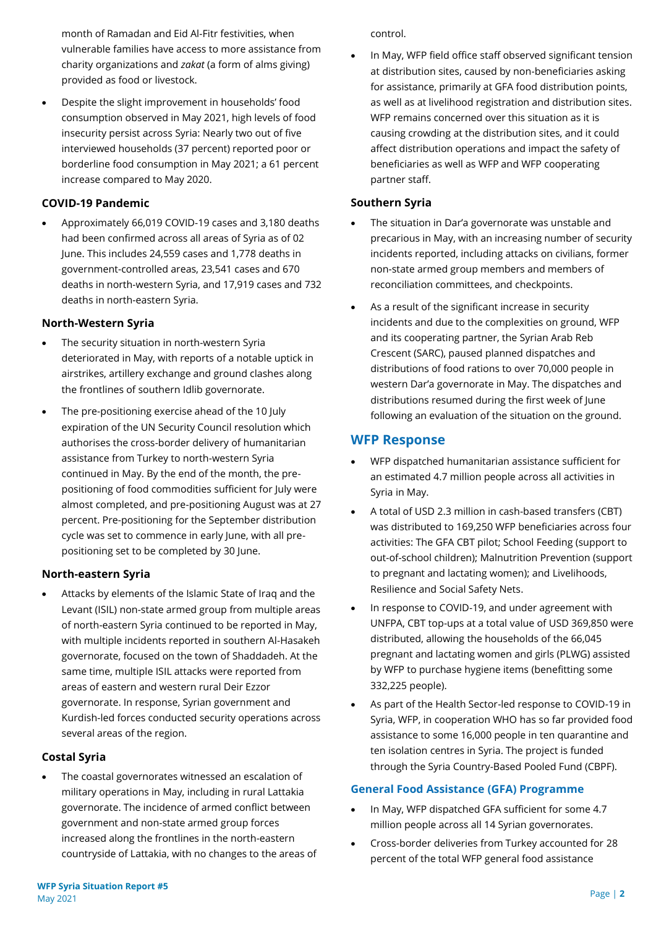month of Ramadan and Eid Al-Fitr festivities, when vulnerable families have access to more assistance from charity organizations and *zakat* (a form of alms giving) provided as food or livestock.

• Despite the slight improvement in households' food consumption observed in May 2021, high levels of food insecurity persist across Syria: Nearly two out of five interviewed households (37 percent) reported poor or borderline food consumption in May 2021; a 61 percent increase compared to May 2020.

# **COVID-19 Pandemic**

• Approximately 66,019 COVID-19 cases and 3,180 deaths had been confirmed across all areas of Syria as of 02 June. This includes 24,559 cases and 1,778 deaths in government-controlled areas, 23,541 cases and 670 deaths in north-western Syria, and 17,919 cases and 732 deaths in north-eastern Syria.

# **North-Western Syria**

- The security situation in north-western Syria deteriorated in May, with reports of a notable uptick in airstrikes, artillery exchange and ground clashes along the frontlines of southern Idlib governorate.
- The pre-positioning exercise ahead of the 10 July expiration of the UN Security Council resolution which authorises the cross-border delivery of humanitarian assistance from Turkey to north-western Syria continued in May. By the end of the month, the prepositioning of food commodities sufficient for July were almost completed, and pre-positioning August was at 27 percent. Pre-positioning for the September distribution cycle was set to commence in early June, with all prepositioning set to be completed by 30 June.

# **North-eastern Syria**

• Attacks by elements of the Islamic State of Iraq and the Levant (ISIL) non-state armed group from multiple areas of north-eastern Syria continued to be reported in May, with multiple incidents reported in southern Al-Hasakeh governorate, focused on the town of Shaddadeh. At the same time, multiple ISIL attacks were reported from areas of eastern and western rural Deir Ezzor governorate. In response, Syrian government and Kurdish-led forces conducted security operations across several areas of the region.

# **Costal Syria**

The coastal governorates witnessed an escalation of military operations in May, including in rural Lattakia governorate. The incidence of armed conflict between government and non-state armed group forces increased along the frontlines in the north-eastern countryside of Lattakia, with no changes to the areas of control.

• In May, WFP field office staff observed significant tension at distribution sites, caused by non-beneficiaries asking for assistance, primarily at GFA food distribution points, as well as at livelihood registration and distribution sites. WFP remains concerned over this situation as it is causing crowding at the distribution sites, and it could affect distribution operations and impact the safety of beneficiaries as well as WFP and WFP cooperating partner staff.

# **Southern Syria**

- The situation in Dar'a governorate was unstable and precarious in May, with an increasing number of security incidents reported, including attacks on civilians, former non-state armed group members and members of reconciliation committees, and checkpoints.
- As a result of the significant increase in security incidents and due to the complexities on ground, WFP and its cooperating partner, the Syrian Arab Reb Crescent (SARC), paused planned dispatches and distributions of food rations to over 70,000 people in western Dar'a governorate in May. The dispatches and distributions resumed during the first week of June following an evaluation of the situation on the ground.

# **WFP Response**

- WFP dispatched humanitarian assistance sufficient for an estimated 4.7 million people across all activities in Syria in May.
- A total of USD 2.3 million in cash-based transfers (CBT) was distributed to 169,250 WFP beneficiaries across four activities: The GFA CBT pilot; School Feeding (support to out-of-school children); Malnutrition Prevention (support to pregnant and lactating women); and Livelihoods, Resilience and Social Safety Nets.
- In response to COVID-19, and under agreement with UNFPA, CBT top-ups at a total value of USD 369,850 were distributed, allowing the households of the 66,045 pregnant and lactating women and girls (PLWG) assisted by WFP to purchase hygiene items (benefitting some 332,225 people).
- As part of the Health Sector-led response to COVID-19 in Syria, WFP, in cooperation WHO has so far provided food assistance to some 16,000 people in ten quarantine and ten isolation centres in Syria. The project is funded through the Syria Country-Based Pooled Fund (CBPF).

## **General Food Assistance (GFA) Programme**

- In May, WFP dispatched GFA sufficient for some 4.7 million people across all 14 Syrian governorates.
- Cross-border deliveries from Turkey accounted for 28 percent of the total WFP general food assistance